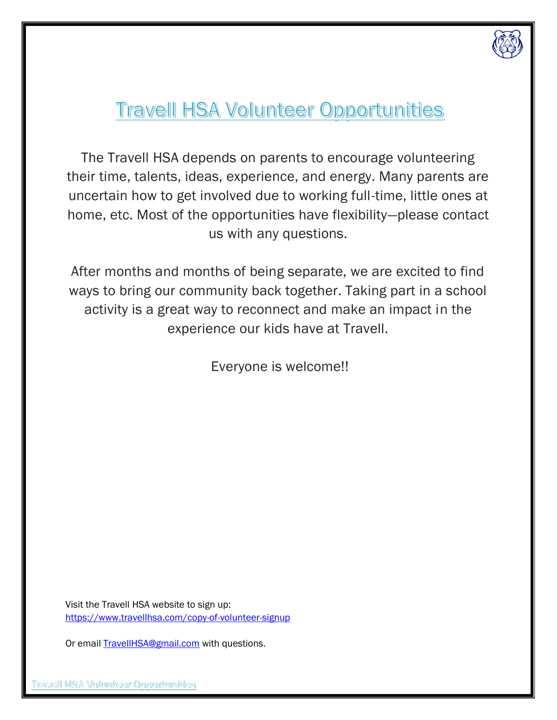

# **Travell HSA Volunteer Opportunities**

The Travell HSA depends on parents to encourage volunteering their time, talents, ideas, experience, and energy. Many parents are uncertain how to get involved due to working full-time, little ones at home, etc. Most of the opportunities have flexibility—please contact us with any questions.

After months and months of being separate, we are excited to find ways to bring our community back together. Taking part in a school activity is a great way to reconnect and make an impact in the experience our kids have at Travell.

Everyone is welcome!!

Visit the Travell HSA website to sign up: <https://www.travellhsa.com/copy-of-volunteer-signup>

Or email **TravellHSA@gmail.com** with questions.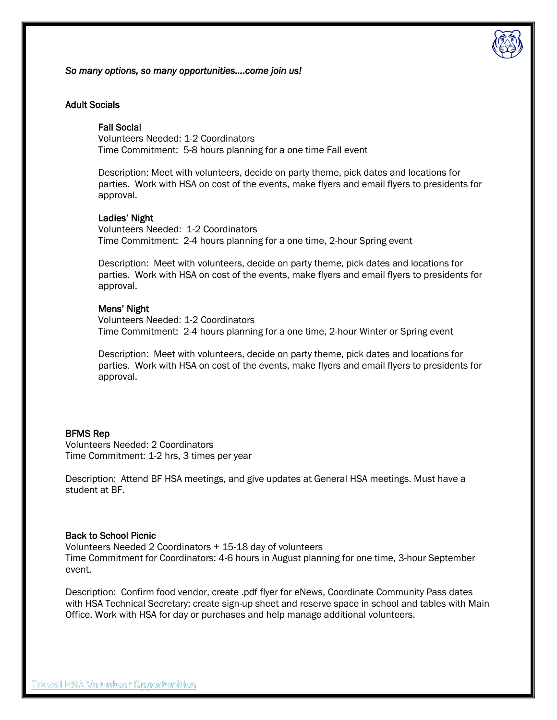

*So many options, so many opportunities….come join us!* 

# Adult Socials

# Fall Social

Volunteers Needed: 1-2 Coordinators Time Commitment: 5-8 hours planning for a one time Fall event

Description: Meet with volunteers, decide on party theme, pick dates and locations for parties. Work with HSA on cost of the events, make flyers and email flyers to presidents for approval.

## Ladies' Night

Volunteers Needed: 1-2 Coordinators Time Commitment: 2-4 hours planning for a one time, 2-hour Spring event

Description: Meet with volunteers, decide on party theme, pick dates and locations for parties. Work with HSA on cost of the events, make flyers and email flyers to presidents for approval.

## Mens' Night

Volunteers Needed: 1-2 Coordinators Time Commitment: 2-4 hours planning for a one time, 2-hour Winter or Spring event

Description: Meet with volunteers, decide on party theme, pick dates and locations for parties. Work with HSA on cost of the events, make flyers and email flyers to presidents for approval.

## BFMS Rep

Volunteers Needed: 2 Coordinators Time Commitment: 1-2 hrs, 3 times per year

Description: Attend BF HSA meetings, and give updates at General HSA meetings. Must have a student at BF.

## Back to School Picnic

Volunteers Needed 2 Coordinators + 15-18 day of volunteers Time Commitment for Coordinators: 4-6 hours in August planning for one time, 3-hour September event.

Description: Confirm food vendor, create .pdf flyer for eNews, Coordinate Community Pass dates with HSA Technical Secretary; create sign-up sheet and reserve space in school and tables with Main Office. Work with HSA for day or purchases and help manage additional volunteers.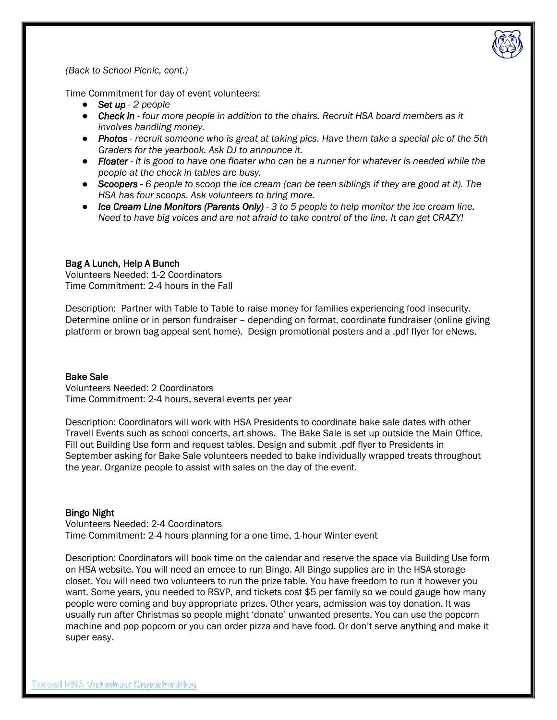

*(Back to School Picnic, cont.)*

Time Commitment for day of event volunteers:

- *Set up - 2 people*
- *Check in - four more people in addition to the chairs. Recruit HSA board members as it involves handling money.*
- *Photos - recruit someone who is great at taking pics. Have them take a special pic of the 5th Graders for the yearbook. Ask DJ to announce it.*
- *Floater - It is good to have one floater who can be a runner for whatever is needed while the people at the check in tables are busy.*
- *Scoopers - 6 people to scoop the ice cream (can be teen siblings if they are good at it). The HSA has four scoops. Ask volunteers to bring more.*
- *Ice Cream Line Monitors (Parents Only) 3 to 5 people to help monitor the ice cream line. Need to have big voices and are not afraid to take control of the line. It can get CRAZY!*

# Bag A Lunch, Help A Bunch

Volunteers Needed: 1-2 Coordinators Time Commitment: 2-4 hours in the Fall

Description: Partner with Table to Table to raise money for families experiencing food insecurity. Determine online or in person fundraiser – depending on format, coordinate fundraiser (online giving platform or brown bag appeal sent home). Design promotional posters and a .pdf flyer for eNews.

## Bake Sale

Volunteers Needed: 2 Coordinators Time Commitment: 2-4 hours, several events per year

Description: Coordinators will work with HSA Presidents to coordinate bake sale dates with other Travell Events such as school concerts, art shows. The Bake Sale is set up outside the Main Office. Fill out Building Use form and request tables. Design and submit .pdf flyer to Presidents in September asking for Bake Sale volunteers needed to bake individually wrapped treats throughout the year. Organize people to assist with sales on the day of the event.

## Bingo Night

Volunteers Needed: 2-4 Coordinators Time Commitment: 2-4 hours planning for a one time, 1-hour Winter event

Description: Coordinators will book time on the calendar and reserve the space via Building Use form on HSA website. You will need an emcee to run Bingo. All Bingo supplies are in the HSA storage closet. You will need two volunteers to run the prize table. You have freedom to run it however you want. Some years, you needed to RSVP, and tickets cost \$5 per family so we could gauge how many people were coming and buy appropriate prizes. Other years, admission was toy donation. It was usually run after Christmas so people might 'donate' unwanted presents. You can use the popcorn machine and pop popcorn or you can order pizza and have food. Or don't serve anything and make it super easy.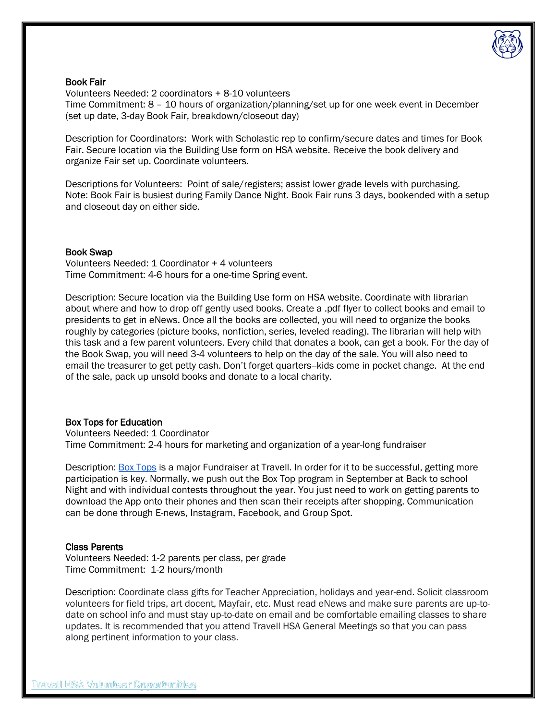

# Book Fair

Volunteers Needed: 2 coordinators + 8-10 volunteers Time Commitment: 8 – 10 hours of organization/planning/set up for one week event in December (set up date, 3-day Book Fair, breakdown/closeout day)

Description for Coordinators: Work with Scholastic rep to confirm/secure dates and times for Book Fair. Secure location via the Building Use form on HSA website. Receive the book delivery and organize Fair set up. Coordinate volunteers.

Descriptions for Volunteers: Point of sale/registers; assist lower grade levels with purchasing. Note: Book Fair is busiest during Family Dance Night. Book Fair runs 3 days, bookended with a setup and closeout day on either side.

## Book Swap

Volunteers Needed: 1 Coordinator + 4 volunteers Time Commitment: 4-6 hours for a one-time Spring event.

Description: Secure location via the Building Use form on HSA website. Coordinate with librarian about where and how to drop off gently used books. Create a .pdf flyer to collect books and email to presidents to get in eNews. Once all the books are collected, you will need to organize the books roughly by categories (picture books, nonfiction, series, leveled reading). The librarian will help with this task and a few parent volunteers. Every child that donates a book, can get a book. For the day of the Book Swap, you will need 3-4 volunteers to help on the day of the sale. You will also need to email the treasurer to get petty cash. Don't forget quarters--kids come in pocket change. At the end of the sale, pack up unsold books and donate to a local charity.

# Box Tops for Education

Volunteers Needed: 1 Coordinator Time Commitment: 2-4 hours for marketing and organization of a year-long fundraiser

Description: [Box Tops](https://drive.google.com/file/d/1yAAbkOJ8w1eKdC-zE_s_L1PQRsF8VETQ/view?usp=sharing) is a major Fundraiser at Travell. In order for it to be successful, getting more participation is key. Normally, we push out the Box Top program in September at Back to school Night and with individual contests throughout the year. You just need to work on getting parents to download the App onto their phones and then scan their receipts after shopping. Communication can be done through E-news, Instagram, Facebook, and Group Spot.

# Class Parents

Volunteers Needed: 1-2 parents per class, per grade Time Commitment: 1-2 hours/month

Description: Coordinate class gifts for Teacher Appreciation, holidays and year-end. Solicit classroom volunteers for field trips, art docent, Mayfair, etc. Must read eNews and make sure parents are up-todate on school info and must stay up-to-date on email and be comfortable emailing classes to share updates. It is recommended that you attend Travell HSA General Meetings so that you can pass along pertinent information to your class.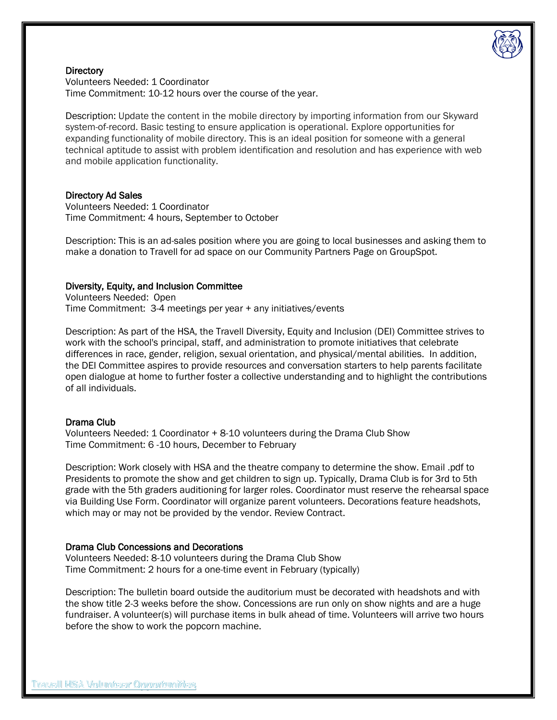

## **Directory**

Volunteers Needed: 1 Coordinator Time Commitment: 10-12 hours over the course of the year.

Description: Update the content in the mobile directory by importing information from our Skyward system-of-record. Basic testing to ensure application is operational. Explore opportunities for expanding functionality of mobile directory. This is an ideal position for someone with a general technical aptitude to assist with problem identification and resolution and has experience with web and mobile application functionality.

## Directory Ad Sales

Volunteers Needed: 1 Coordinator Time Commitment: 4 hours, September to October

Description: This is an ad-sales position where you are going to local businesses and asking them to make a donation to Travell for ad space on our Community Partners Page on GroupSpot.

## Diversity, Equity, and Inclusion Committee

Volunteers Needed: Open Time Commitment: 3-4 meetings per year + any initiatives/events

Description: As part of the HSA, the Travell Diversity, Equity and Inclusion (DEI) Committee strives to work with the school's principal, staff, and administration to promote initiatives that celebrate differences in race, gender, religion, sexual orientation, and physical/mental abilities. In addition, the DEI Committee aspires to provide resources and conversation starters to help parents facilitate open dialogue at home to further foster a collective understanding and to highlight the contributions of all individuals.

## Drama Club

Volunteers Needed: 1 Coordinator + 8-10 volunteers during the Drama Club Show Time Commitment: 6 -10 hours, December to February

Description: Work closely with HSA and the theatre company to determine the show. Email .pdf to Presidents to promote the show and get children to sign up. Typically, Drama Club is for 3rd to 5th grade with the 5th graders auditioning for larger roles. Coordinator must reserve the rehearsal space via Building Use Form. Coordinator will organize parent volunteers. Decorations feature headshots, which may or may not be provided by the vendor. Review Contract.

# Drama Club Concessions and Decorations

Volunteers Needed: 8-10 volunteers during the Drama Club Show Time Commitment: 2 hours for a one-time event in February (typically)

Description: The bulletin board outside the auditorium must be decorated with headshots and with the show title 2-3 weeks before the show. Concessions are run only on show nights and are a huge fundraiser. A volunteer(s) will purchase items in bulk ahead of time. Volunteers will arrive two hours before the show to work the popcorn machine.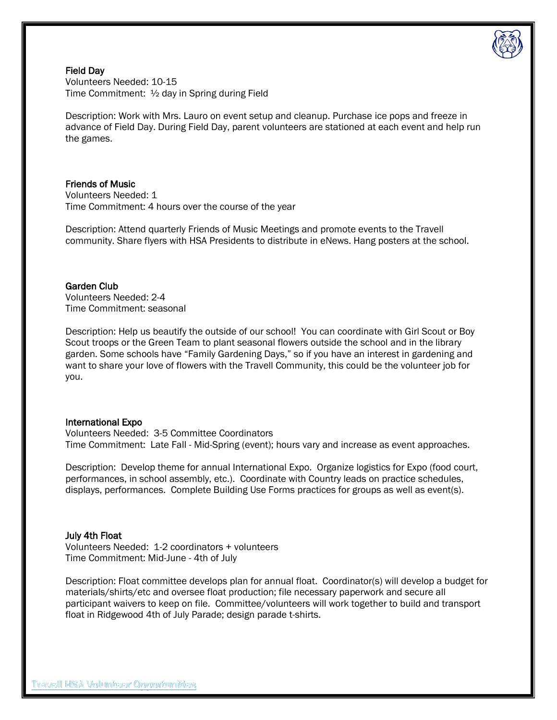

Field Day Volunteers Needed: 10-15 Time Commitment: ½ day in Spring during Field

Description: Work with Mrs. Lauro on event setup and cleanup. Purchase ice pops and freeze in advance of Field Day. During Field Day, parent volunteers are stationed at each event and help run the games.

# Friends of Music

Volunteers Needed: 1 Time Commitment: 4 hours over the course of the year

Description: Attend quarterly Friends of Music Meetings and promote events to the Travell community. Share flyers with HSA Presidents to distribute in eNews. Hang posters at the school.

## Garden Club

Volunteers Needed: 2-4 Time Commitment: seasonal

Description: Help us beautify the outside of our school! You can coordinate with Girl Scout or Boy Scout troops or the Green Team to plant seasonal flowers outside the school and in the library garden. Some schools have "Family Gardening Days," so if you have an interest in gardening and want to share your love of flowers with the Travell Community, this could be the volunteer job for you.

## International Expo

Volunteers Needed: 3-5 Committee Coordinators Time Commitment: Late Fall - Mid-Spring (event); hours vary and increase as event approaches.

Description: Develop theme for annual International Expo. Organize logistics for Expo (food court, performances, in school assembly, etc.). Coordinate with Country leads on practice schedules, displays, performances. Complete Building Use Forms practices for groups as well as event(s).

## July 4th Float

Volunteers Needed: 1-2 coordinators + volunteers Time Commitment: Mid-June - 4th of July

Description: Float committee develops plan for annual float. Coordinator(s) will develop a budget for materials/shirts/etc and oversee float production; file necessary paperwork and secure all participant waivers to keep on file. Committee/volunteers will work together to build and transport float in Ridgewood 4th of July Parade; design parade t-shirts.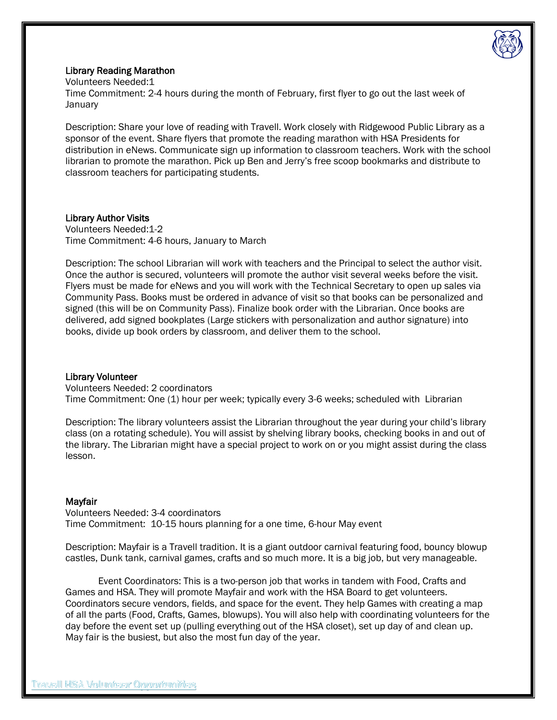

# Library Reading Marathon

Volunteers Needed:1 Time Commitment: 2-4 hours during the month of February, first flyer to go out the last week of **January** 

Description: Share your love of reading with Travell. Work closely with Ridgewood Public Library as a sponsor of the event. Share flyers that promote the reading marathon with HSA Presidents for distribution in eNews. Communicate sign up information to classroom teachers. Work with the school librarian to promote the marathon. Pick up Ben and Jerry's free scoop bookmarks and distribute to classroom teachers for participating students.

# Library Author Visits

Volunteers Needed:1-2 Time Commitment: 4-6 hours, January to March

Description: The school Librarian will work with teachers and the Principal to select the author visit. Once the author is secured, volunteers will promote the author visit several weeks before the visit. Flyers must be made for eNews and you will work with the Technical Secretary to open up sales via Community Pass. Books must be ordered in advance of visit so that books can be personalized and signed (this will be on Community Pass). Finalize book order with the Librarian. Once books are delivered, add signed bookplates (Large stickers with personalization and author signature) into books, divide up book orders by classroom, and deliver them to the school.

# Library Volunteer

Volunteers Needed: 2 coordinators Time Commitment: One (1) hour per week; typically every 3-6 weeks; scheduled with Librarian

Description: The library volunteers assist the Librarian throughout the year during your child's library class (on a rotating schedule). You will assist by shelving library books, checking books in and out of the library. The Librarian might have a special project to work on or you might assist during the class lesson.

# Mayfair

Volunteers Needed: 3-4 coordinators Time Commitment: 10-15 hours planning for a one time, 6-hour May event

Description: Mayfair is a Travell tradition. It is a giant outdoor carnival featuring food, bouncy blowup castles, Dunk tank, carnival games, crafts and so much more. It is a big job, but very manageable.

Event Coordinators: This is a two-person job that works in tandem with Food, Crafts and Games and HSA. They will promote Mayfair and work with the HSA Board to get volunteers. Coordinators secure vendors, fields, and space for the event. They help Games with creating a map of all the parts (Food, Crafts, Games, blowups). You will also help with coordinating volunteers for the day before the event set up (pulling everything out of the HSA closet), set up day of and clean up. May fair is the busiest, but also the most fun day of the year.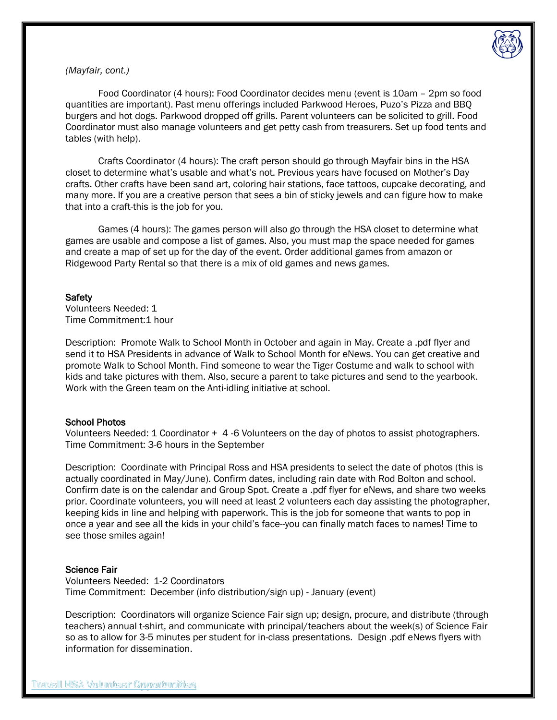

# *(Mayfair, cont.)*

Food Coordinator (4 hours): Food Coordinator decides menu (event is 10am – 2pm so food quantities are important). Past menu offerings included Parkwood Heroes, Puzo's Pizza and BBQ burgers and hot dogs. Parkwood dropped off grills. Parent volunteers can be solicited to grill. Food Coordinator must also manage volunteers and get petty cash from treasurers. Set up food tents and tables (with help).

Crafts Coordinator (4 hours): The craft person should go through Mayfair bins in the HSA closet to determine what's usable and what's not. Previous years have focused on Mother's Day crafts. Other crafts have been sand art, coloring hair stations, face tattoos, cupcake decorating, and many more. If you are a creative person that sees a bin of sticky jewels and can figure how to make that into a craft-this is the job for you.

Games (4 hours): The games person will also go through the HSA closet to determine what games are usable and compose a list of games. Also, you must map the space needed for games and create a map of set up for the day of the event. Order additional games from amazon or Ridgewood Party Rental so that there is a mix of old games and news games.

# **Safety**

Volunteers Needed: 1 Time Commitment:1 hour

Description: Promote Walk to School Month in October and again in May. Create a .pdf flyer and send it to HSA Presidents in advance of Walk to School Month for eNews. You can get creative and promote Walk to School Month. Find someone to wear the Tiger Costume and walk to school with kids and take pictures with them. Also, secure a parent to take pictures and send to the yearbook. Work with the Green team on the Anti-idling initiative at school.

# School Photos

Volunteers Needed: 1 Coordinator + 4 -6 Volunteers on the day of photos to assist photographers. Time Commitment: 3-6 hours in the September

Description: Coordinate with Principal Ross and HSA presidents to select the date of photos (this is actually coordinated in May/June). Confirm dates, including rain date with Rod Bolton and school. Confirm date is on the calendar and Group Spot. Create a .pdf flyer for eNews, and share two weeks prior. Coordinate volunteers, you will need at least 2 volunteers each day assisting the photographer, keeping kids in line and helping with paperwork. This is the job for someone that wants to pop in once a year and see all the kids in your child's face--you can finally match faces to names! Time to see those smiles again!

# Science Fair

Volunteers Needed: 1-2 Coordinators Time Commitment: December (info distribution/sign up) - January (event)

Description: Coordinators will organize Science Fair sign up; design, procure, and distribute (through teachers) annual t-shirt, and communicate with principal/teachers about the week(s) of Science Fair so as to allow for 3-5 minutes per student for in-class presentations. Design .pdf eNews flyers with information for dissemination.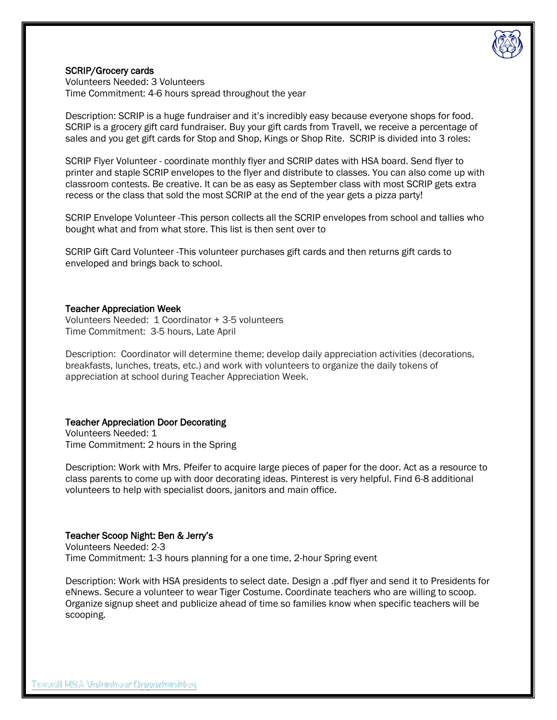

# SCRIP/Grocery cards

Volunteers Needed: 3 Volunteers Time Commitment: 4-6 hours spread throughout the year

Description: SCRIP is a huge fundraiser and it's incredibly easy because everyone shops for food. SCRIP is a grocery gift card fundraiser. Buy your gift cards from Travell, we receive a percentage of sales and you get gift cards for Stop and Shop, Kings or Shop Rite. SCRIP is divided into 3 roles:

SCRIP Flyer Volunteer - coordinate monthly flyer and SCRIP dates with HSA board. Send flyer to printer and staple SCRIP envelopes to the flyer and distribute to classes. You can also come up with classroom contests. Be creative. It can be as easy as September class with most SCRIP gets extra recess or the class that sold the most SCRIP at the end of the year gets a pizza party!

SCRIP Envelope Volunteer -This person collects all the SCRIP envelopes from school and tallies who bought what and from what store. This list is then sent over to

SCRIP Gift Card Volunteer -This volunteer purchases gift cards and then returns gift cards to enveloped and brings back to school.

## Teacher Appreciation Week

Volunteers Needed: 1 Coordinator + 3-5 volunteers Time Commitment: 3-5 hours, Late April

Description: Coordinator will determine theme; develop daily appreciation activities (decorations, breakfasts, lunches, treats, etc.) and work with volunteers to organize the daily tokens of appreciation at school during Teacher Appreciation Week.

## Teacher Appreciation Door Decorating

Volunteers Needed: 1 Time Commitment: 2 hours in the Spring

Description: Work with Mrs. Pfeifer to acquire large pieces of paper for the door. Act as a resource to class parents to come up with door decorating ideas. Pinterest is very helpful. Find 6-8 additional volunteers to help with specialist doors, janitors and main office.

## Teacher Scoop Night: Ben & Jerry's

Volunteers Needed: 2-3 Time Commitment: 1-3 hours planning for a one time, 2-hour Spring event

Description: Work with HSA presidents to select date. Design a .pdf flyer and send it to Presidents for eNnews. Secure a volunteer to wear Tiger Costume. Coordinate teachers who are willing to scoop. Organize signup sheet and publicize ahead of time so families know when specific teachers will be scooping.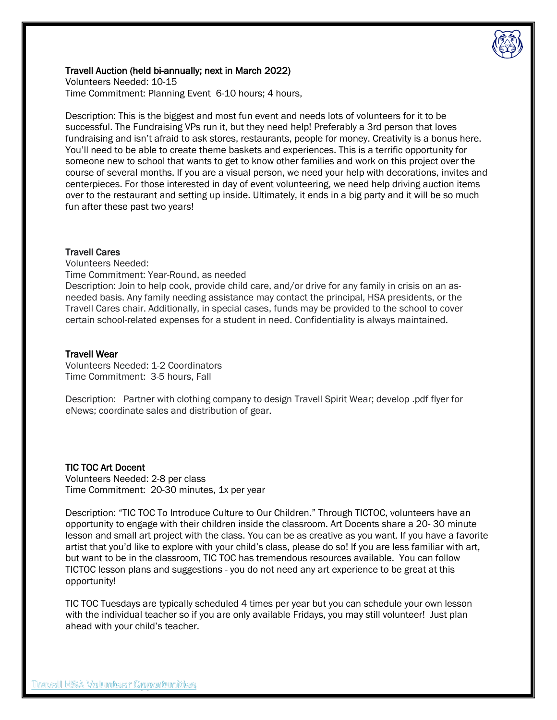

# Travell Auction (held bi-annually; next in March 2022)

Volunteers Needed: 10-15 Time Commitment: Planning Event 6-10 hours; 4 hours,

Description: This is the biggest and most fun event and needs lots of volunteers for it to be successful. The Fundraising VPs run it, but they need help! Preferably a 3rd person that loves fundraising and isn't afraid to ask stores, restaurants, people for money. Creativity is a bonus here. You'll need to be able to create theme baskets and experiences. This is a terrific opportunity for someone new to school that wants to get to know other families and work on this project over the course of several months. If you are a visual person, we need your help with decorations, invites and centerpieces. For those interested in day of event volunteering, we need help driving auction items over to the restaurant and setting up inside. Ultimately, it ends in a big party and it will be so much fun after these past two years!

## Travell Cares

Volunteers Needed:

Time Commitment: Year-Round, as needed

Description: Join to help cook, provide child care, and/or drive for any family in crisis on an asneeded basis. Any family needing assistance may contact the principal, HSA presidents, or the Travell Cares chair. Additionally, in special cases, funds may be provided to the school to cover certain school-related expenses for a student in need. Confidentiality is always maintained.

# Travell Wear

Volunteers Needed: 1-2 Coordinators Time Commitment: 3-5 hours, Fall

Description: Partner with clothing company to design Travell Spirit Wear; develop .pdf flyer for eNews; coordinate sales and distribution of gear.

# TIC TOC Art Docent

Volunteers Needed: 2-8 per class Time Commitment: 20-30 minutes, 1x per year

Description: "TIC TOC To Introduce Culture to Our Children." Through TICTOC, volunteers have an opportunity to engage with their children inside the classroom. Art Docents share a 20- 30 minute lesson and small art project with the class. You can be as creative as you want. If you have a favorite artist that you'd like to explore with your child's class, please do so! If you are less familiar with art, but want to be in the classroom, TIC TOC has tremendous resources available. You can follow TICTOC lesson plans and suggestions - you do not need any art experience to be great at this opportunity!

TIC TOC Tuesdays are typically scheduled 4 times per year but you can schedule your own lesson with the individual teacher so if you are only available Fridays, you may still volunteer! Just plan ahead with your child's teacher.